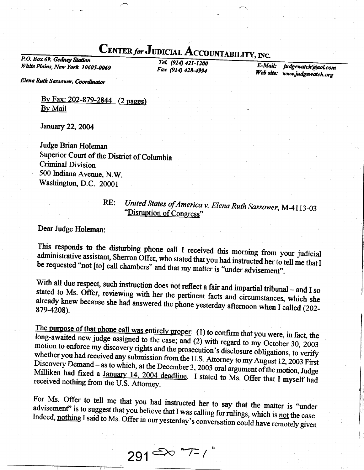## CENTER for JUDICIAL ACCOUNTABILITY, INC.

P.O. Box 69, Gedney Station White Plains, New York 10605-0069

Tel. (914) 421-1200 Fax (914) 428-4994

E-Mail: judgewatch@aoLcom Web site: www.judgewatch.org

Elena Ruth Sassower, Coordinator

By Fax: 202-879-2844 (2 pages) By Mail

**January 22, 2004** 

Judge Brian Holeman Superior Court of the District of Columbia **Criminal Division** 500 Indiana Avenue, N.W. Washington, D.C. 20001

## United States of America v. Elena Ruth Sassower, M-4113-03  $RE:$ "Disruption of Congress"

Dear Judge Holeman:

This responds to the disturbing phone call I received this morning from your judicial administrative assistant, Sherron Offer, who stated that you had instructed her to tell me that I be requested "not [to] call chambers" and that my matter is "under advisement".

With all due respect, such instruction does not reflect a fair and impartial tribunal - and I so stated to Ms. Offer, reviewing with her the pertinent facts and circumstances, which she already knew because she had answered the phone yesterday afternoon when I called (202-879-4208).

The purpose of that phone call was entirely proper: (1) to confirm that you were, in fact, the long-awaited new judge assigned to the case; and (2) with regard to my October 30, 2003 motion to enforce my discovery rights and the prosecution's disclosure obligations, to verify whether you had received any submission from the U.S. Attorney to my August 12, 2003 First Discovery Demand - as to which, at the December 3, 2003 oral argument of the motion, Judge Milliken had fixed a January 14, 2004 deadline. I stated to Ms. Offer that I myself had received nothing from the U.S. Attorney.

For Ms. Offer to tell me that you had instructed her to say that the matter is "under advisement" is to suggest that you believe that I was calling for rulings, which is not the case. Indeed, nothing I said to Ms. Offer in our yesterday's conversation could have remotely given

 $291$ <sup> $\infty$ </sup>  $7-1$